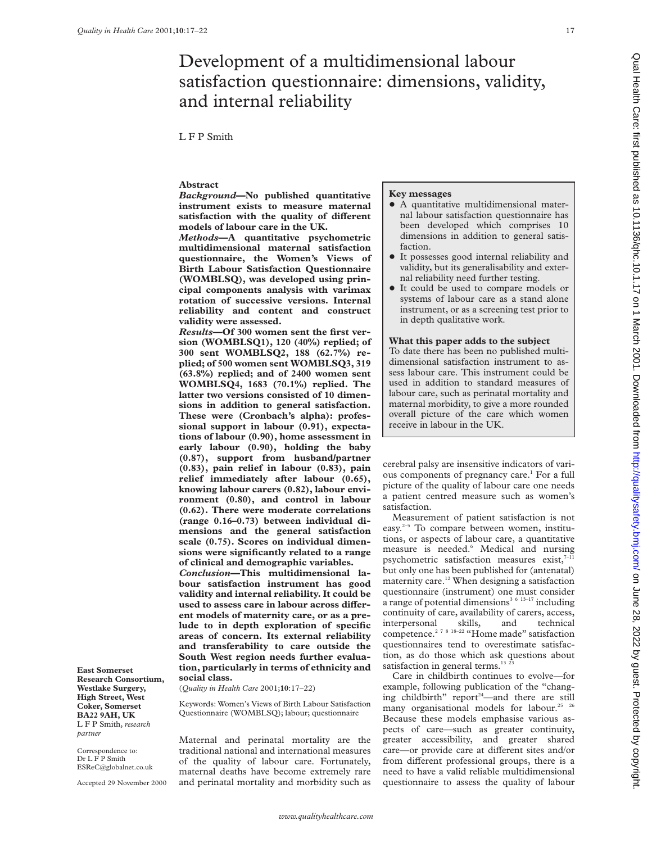# Development of a multidimensional labour satisfaction questionnaire: dimensions, validity, and internal reliability

L F P Smith

## **Abstract**

*Background***—No published quantitative instrument exists to measure maternal** satisfaction with the quality of different **models of labour care in the UK.**

*Methods***—A quantitative psychometric multidimensional maternal satisfaction questionnaire, the Women's Views of Birth Labour Satisfaction Questionnaire (WOMBLSQ), was developed using principal components analysis with varimax rotation of successive versions. Internal reliability and content and construct validity were assessed.**

*Results***—Of 300 women sent the first version (WOMBLSQ1), 120 (40%) replied; of 300 sent WOMBLSQ2, 188 (62.7%) replied; of 500 women sent WOMBLSQ3, 319 (63.8%) replied; and of 2400 women sent WOMBLSQ4, 1683 (70.1%) replied. The latter two versions consisted of 10 dimensions in addition to general satisfaction. These were (Cronbach's alpha): professional support in labour (0.91), expectations of labour (0.90), home assessment in early labour (0.90), holding the baby (0.87), support from husband/partner (0.83), pain relief in labour (0.83), pain relief immediately after labour (0.65), knowing labour carers (0.82), labour environment (0.80), and control in labour (0.62). There were moderate correlations (range 0.16–0.73) between individual dimensions and the general satisfaction scale (0.75). Scores on individual dimensions were significantly related to a range of clinical and demographic variables.** *Conclusion***—This multidimensional labour satisfaction instrument has good validity and internal reliability. It could be** used to assess care in labour across differ**ent models of maternity care, or as a prelude to in depth exploration of specific areas of concern. Its external reliability and transferability to care outside the South West region needs further evaluation, particularly in terms of ethnicity and social class.**

(*Quality in Health Care* 2001;**10**:17–22)

**East Somerset Research Consortium, Westlake Surgery, High Street, West Coker, Somerset BA22 9AH, UK** L F P Smith, *research*

Correspondence to: Dr L F P Smith ESReC@globalnet.co.uk Accepted 29 November 2000

*partner*

Keywords: Women's Views of Birth Labour Satisfaction Questionnaire (WOMBLSQ); labour; questionnaire

Maternal and perinatal mortality are the traditional national and international measures of the quality of labour care. Fortunately, maternal deaths have become extremely rare and perinatal mortality and morbidity such as

## **Key messages**

- + A quantitative multidimensional maternal labour satisfaction questionnaire has been developed which comprises 10 dimensions in addition to general satisfaction.
- $\bullet$  It possesses good internal reliability and validity, but its generalisability and external reliability need further testing.
- It could be used to compare models or systems of labour care as a stand alone instrument, or as a screening test prior to in depth qualitative work.

## **What this paper adds to the subject**

To date there has been no published multidimensional satisfaction instrument to assess labour care. This instrument could be used in addition to standard measures of labour care, such as perinatal mortality and maternal morbidity, to give a more rounded overall picture of the care which women receive in labour in the UK.

cerebral palsy are insensitive indicators of various components of pregnancy care.<sup>1</sup> For a full picture of the quality of labour care one needs a patient centred measure such as women's satisfaction.

Measurement of patient satisfaction is not easy.2–5 To compare between women, institutions, or aspects of labour care, a quantitative measure is needed.<sup>6</sup> Medical and nursing psychometric satisfaction measures exist, $7-11$ but only one has been published for (antenatal) maternity care.<sup>12</sup> When designing a satisfaction questionnaire (instrument) one must consider a range of potential dimensions<sup>3 6 13-17</sup> including continuity of care, availability of carers, access, interpersonal skills, and technical competence.<sup>2 7 8 18–22</sup> "Home made" satisfaction questionnaires tend to overestimate satisfaction, as do those which ask questions about satisfaction in general terms.<sup>13 2</sup>

Care in childbirth continues to evolve—for example, following publication of the "changing childbirth" report<sup>24</sup>—and there are still many organisational models for labour.<sup>25</sup> <sup>26</sup> Because these models emphasise various aspects of care—such as greater continuity, greater accessibility, and greater shared care—or provide care at different sites and/or from different professional groups, there is a need to have a valid reliable multidimensional questionnaire to assess the quality of labour Qual Health Care: first published as 10.11136/qhc.10.1.17 on 1 March 2001. Downloaded from http://qualitysafety.bmj.com/ on June 28, 2022 by guest. Protected by copyright On June 28, 2022 by guest Protected by copyright. During 28, 2022 by Guest published from the 10.1117 on 1 March 2002 by copyright. Published from a 10.1117 on 1 March 2001. Downloaded from the 10.1117 on 1 March 20, 2022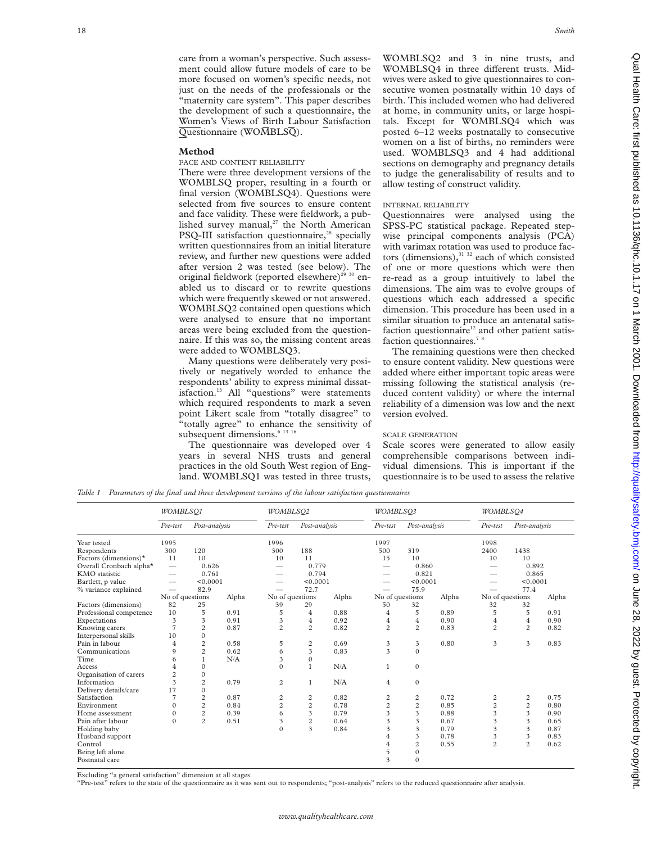care from a woman's perspective. Such assessment could allow future models of care to be more focused on women's specific needs, not just on the needs of the professionals or the "maternity care system". This paper describes the development of such a questionnaire, the Women's Views of Birth Labour Satisfaction  $\overline{\text{Questionnaire}}$  (WOMBLSQ).

## **Method**

## FACE AND CONTENT RELIABILITY

There were three development versions of the WOMBLSQ proper, resulting in a fourth or final version (WOMBLSQ4). Questions were selected from five sources to ensure content and face validity. These were fieldwork, a published survey manual, $27$  the North American PSQ-III satisfaction questionnaire,<sup>28</sup> specially written questionnaires from an initial literature review, and further new questions were added after version 2 was tested (see below). The original fieldwork (reported elsewhere)<sup>29 30</sup> enabled us to discard or to rewrite questions which were frequently skewed or not answered. WOMBLSQ2 contained open questions which were analysed to ensure that no important areas were being excluded from the questionnaire. If this was so, the missing content areas were added to WOMBLSQ3.

Many questions were deliberately very positively or negatively worded to enhance the respondents' ability to express minimal dissatisfaction.<sup>13</sup> All "questions" were statements which required respondents to mark a seven point Likert scale from "totally disagree" to "totally agree" to enhance the sensitivity of subsequent dimensions.<sup>6</sup><sup>13 16</sup>

The questionnaire was developed over 4 years in several NHS trusts and general practices in the old South West region of England. WOMBLSQ1 was tested in three trusts, WOMBLSQ2 and 3 in nine trusts, and WOMBLSQ4 in three different trusts. Midwives were asked to give questionnaires to consecutive women postnatally within 10 days of birth. This included women who had delivered at home, in community units, or large hospitals. Except for WOMBLSQ4 which was posted 6–12 weeks postnatally to consecutive women on a list of births, no reminders were used. WOMBLSQ3 and 4 had additional sections on demography and pregnancy details to judge the generalisability of results and to allow testing of construct validity.

# INTERNAL RELIABILITY

Questionnaires were analysed using the SPSS-PC statistical package. Repeated stepwise principal components analysis (PCA) with varimax rotation was used to produce factors (dimensions), $3132$  each of which consisted of one or more questions which were then re-read as a group intuitively to label the dimensions. The aim was to evolve groups of questions which each addressed a specific dimension. This procedure has been used in a similar situation to produce an antenatal satisfaction questionnaire $12$  and other patient satisfaction questionnaires.<sup>7</sup><sup>8</sup>

The remaining questions were then checked to ensure content validity. New questions were added where either important topic areas were missing following the statistical analysis (reduced content validity) or where the internal reliability of a dimension was low and the next version evolved.

#### SCALE GENERATION

Scale scores were generated to allow easily comprehensible comparisons between individual dimensions. This is important if the questionnaire is to be used to assess the relative

*Table 1 Parameters of the final and three development versions of the labour satisfaction questionnaires*

|                              | WOMBLSQ1                        |                |       | WOMBLSO2        |                |       |                         | WOMBLSO3       |       |                 | WOMBLSO4       |       |  |
|------------------------------|---------------------------------|----------------|-------|-----------------|----------------|-------|-------------------------|----------------|-------|-----------------|----------------|-------|--|
|                              | Pre-test                        | Post-analysis  |       | Pre-test        | Post-analysis  |       | Pre-test                | Post-analysis  |       | $Pre-test$      | Post-analysis  |       |  |
| Year tested                  | 1995                            |                |       | 1996            |                |       | 1997                    |                |       | 1998            |                |       |  |
| Respondents                  | 300                             | 120            |       | 300             | 188            |       | 500                     | 319            |       | 2400            | 1438           |       |  |
| Factors (dimensions) $\star$ | 11                              | 10             |       | 10              | 11             |       | 15                      | 10             |       | 10              | 10             |       |  |
| Overall Cronbach alpha*      | $\hspace{0.1mm}-\hspace{0.1mm}$ | 0.626          |       |                 | 0.779          |       |                         | 0.860          |       |                 | 0.892          |       |  |
| KMO statistic                |                                 | 0.761          |       |                 | 0.794          |       |                         | 0.821          |       |                 | 0.865          |       |  |
| Bartlett, p value            |                                 | < 0.0001       |       |                 | < 0.0001       |       |                         | < 0.0001       |       |                 | < 0.0001       |       |  |
| % variance explained         | $\overline{\phantom{0}}$        | 82.9           |       |                 | 72.7           |       |                         | 75.9           |       |                 | 77.4           |       |  |
|                              | No of questions                 |                | Alpha | No of questions |                | Alpha | No of questions         |                | Alpha | No of questions |                | Alpha |  |
| Factors (dimensions)         | 82                              | 25             |       | 39              | 29             |       | 50                      | 32             |       | 32              | 32             |       |  |
| Professional competence      | 10                              | 5              | 0.91  | 5               | $\overline{4}$ | 0.88  | 4                       | 5              | 0.89  | 5               | 5              | 0.91  |  |
| Expectations                 | 3                               | 3              | 0.91  | 3               | $\overline{4}$ | 0.92  | $\overline{4}$          | $\overline{4}$ | 0.90  | $\overline{4}$  | $\overline{4}$ | 0.90  |  |
| Knowing carers               | $\overline{7}$                  | $\overline{c}$ | 0.87  | $\overline{c}$  | $\overline{c}$ | 0.82  | $\overline{c}$          | $\overline{c}$ | 0.83  | $\overline{c}$  | $\overline{c}$ | 0.82  |  |
| Interpersonal skills         | 10                              | $\Omega$       |       |                 |                |       |                         |                |       |                 |                |       |  |
| Pain in labour               | 4                               | $\overline{c}$ | 0.58  | 5               | $\overline{c}$ | 0.69  | 3                       | 3              | 0.80  | 3               | 3              | 0.83  |  |
| Communications               | 9                               | $\overline{c}$ | 0.62  | 6               | 3              | 0.83  | $\overline{\mathbf{3}}$ | $\Omega$       |       |                 |                |       |  |
| Time                         | 6                               | 1              | N/A   | 3               | $\Omega$       |       |                         |                |       |                 |                |       |  |
| Access                       | 4                               | $\mathbf{0}$   |       | $\Omega$        | $\mathbf{1}$   | N/A   | 1                       | $\mathbf{0}$   |       |                 |                |       |  |
| Organisation of carers       | $\overline{c}$                  | $\mathbf{0}$   |       |                 |                |       |                         |                |       |                 |                |       |  |
| Information                  | 3                               | $\overline{c}$ | 0.79  | $\overline{c}$  | 1              | N/A   | 4                       | $\theta$       |       |                 |                |       |  |
| Delivery details/care        | 17                              | $\Omega$       |       |                 |                |       |                         |                |       |                 |                |       |  |
| Satisfaction                 | 7                               | $\overline{c}$ | 0.87  | 2               | 2              | 0.82  | 2                       | 2              | 0.72  | $\overline{c}$  | $\overline{c}$ | 0.75  |  |
| Environment                  | $\Omega$                        | $\overline{2}$ | 0.84  | $\overline{c}$  | $\overline{c}$ | 0.78  | $\overline{c}$          | $\overline{c}$ | 0.85  | $\overline{c}$  | $\overline{c}$ | 0.80  |  |
| Home assessment              | $\Omega$                        | $\overline{c}$ | 0.39  | 6               | 3              | 0.79  | 3                       | 3              | 0.88  | 3               | 3              | 0.90  |  |
| Pain after labour            | $\Omega$                        | $\overline{c}$ | 0.51  | 3               | $\overline{c}$ | 0.64  | 3                       | 3              | 0.67  | 3               | 3              | 0.65  |  |
| Holding baby                 |                                 |                |       | $\theta$        | 3              | 0.84  | 3                       | 3              | 0.79  | 3               | 3              | 0.87  |  |
| Husband support              |                                 |                |       |                 |                |       | $\overline{4}$          | 3              | 0.78  | 3               | 3              | 0.83  |  |
| Control                      |                                 |                |       |                 |                |       | $\overline{4}$          | $\overline{c}$ | 0.55  | $\overline{c}$  | $\overline{c}$ | 0.62  |  |
| Being left alone             |                                 |                |       |                 |                |       | 5                       | $\mathbf{0}$   |       |                 |                |       |  |
| Postnatal care               |                                 |                |       |                 |                |       | 3                       | $\Omega$       |       |                 |                |       |  |
|                              |                                 |                |       |                 |                |       |                         |                |       |                 |                |       |  |

Excluding "a general satisfaction" dimension at all stages.

"Pre-test" refers to the state of the questionnaire as it was sent out to respondents; "post-analysis" refers to the reduced questionnaire after analysis.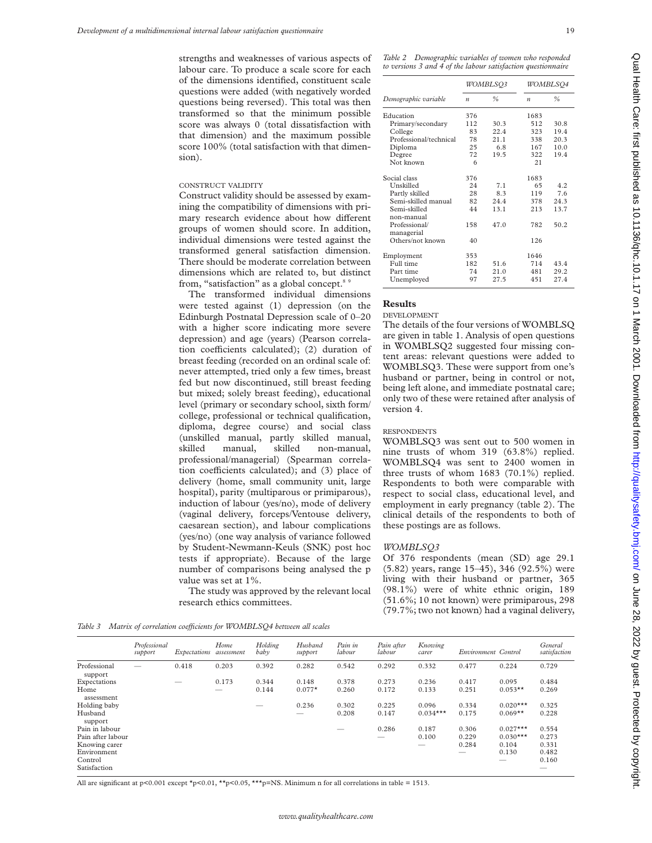strengths and weaknesses of various aspects of labour care. To produce a scale score for each of the dimensions identified, constituent scale questions were added (with negatively worded questions being reversed). This total was then transformed so that the minimum possible score was always 0 (total dissatisfaction with that dimension) and the maximum possible score 100% (total satisfaction with that dimension).

## CONSTRUCT VALIDITY

Construct validity should be assessed by examining the compatibility of dimensions with primary research evidence about how different groups of women should score. In addition, individual dimensions were tested against the transformed general satisfaction dimension. There should be moderate correlation between dimensions which are related to, but distinct from, "satisfaction" as a global concept.<sup>8</sup>

The transformed individual dimensions were tested against (1) depression (on the Edinburgh Postnatal Depression scale of 0–20 with a higher score indicating more severe depression) and age (years) (Pearson correlation coefficients calculated); (2) duration of breast feeding (recorded on an ordinal scale of: never attempted, tried only a few times, breast fed but now discontinued, still breast feeding but mixed; solely breast feeding), educational level (primary or secondary school, sixth form/ college, professional or technical qualification, diploma, degree course) and social class (unskilled manual, partly skilled manual, skilled manual, skilled non-manual, professional/managerial) (Spearman correlation coefficients calculated); and (3) place of delivery (home, small community unit, large hospital), parity (multiparous or primiparous), induction of labour (yes/no), mode of delivery (vaginal delivery, forceps/Ventouse delivery, caesarean section), and labour complications (yes/no) (one way analysis of variance followed by Student-Newmann-Keuls (SNK) post hoc tests if appropriate). Because of the large number of comparisons being analysed the p value was set at 1%.

The study was approved by the relevant local research ethics committees.

*Table 2 Demographic variables of women who responded to versions 3 and 4 of the labour satisfaction questionnaire*

|                                           |                  | <i>WOMBLSO3</i> | WOMBLSQ4         |      |  |
|-------------------------------------------|------------------|-----------------|------------------|------|--|
| Demographic variable                      | $\boldsymbol{n}$ | $\frac{0}{0}$   | $\boldsymbol{n}$ | ℅    |  |
| Education                                 | 376              |                 | 1683             |      |  |
| Primary/secondary                         | 112              | 30.3            | 512              | 30.8 |  |
| College                                   | 83               | 22.4            | 323              | 19.4 |  |
| Professional/technical                    | 78               | 21.1            | 338              | 20.3 |  |
| Diploma                                   | 25               | 6.8             | 167              | 10.0 |  |
| Degree                                    | 72               | 19.5            | 322              | 19.4 |  |
| Not known                                 | 6                |                 | 21               |      |  |
| Social class                              | 376              |                 | 1683             |      |  |
| Unskilled                                 | 24               | 7 1             | 65               | 42   |  |
| Partly skilled                            | 28               | 8.3             | 119              | 7.6  |  |
| Semi-skilled manual                       | 82               | 24.4            | 378              | 24.3 |  |
| Semi-skilled                              | 44               | 13.1            | 213              | 13.7 |  |
| non-manual<br>Professional/<br>managerial | 158              | 47.0            | 782              | 50.2 |  |
| Others/not known                          | 40               |                 | 126              |      |  |
| Employment                                | 353              |                 | 1646             |      |  |
| Full time                                 | 182              | 51.6            | 714              | 434  |  |
| Part time                                 | 74               | 21.0            | 481              | 29.2 |  |
| Unemployed                                | 97               | 27.5            | 451              | 27.4 |  |

## **Results**

DEVELOPMENT

The details of the four versions of WOMBLSQ are given in table 1. Analysis of open questions in WOMBLSQ2 suggested four missing content areas: relevant questions were added to WOMBLSQ3. These were support from one's husband or partner, being in control or not, being left alone, and immediate postnatal care; only two of these were retained after analysis of version 4.

#### **RESPONDENTS**

WOMBLSQ3 was sent out to 500 women in nine trusts of whom 319 (63.8%) replied. WOMBLSQ4 was sent to 2400 women in three trusts of whom 1683 (70.1%) replied. Respondents to both were comparable with respect to social class, educational level, and employment in early pregnancy (table 2). The clinical details of the respondents to both of these postings are as follows.

## *WOMBLSQ3*

Of 376 respondents (mean (SD) age 29.1 (5.82) years, range 15–45), 346 (92.5%) were living with their husband or partner, 365 (98.1%) were of white ethnic origin, 189 (51.6%; 10 not known) were primiparous, 298 (79.7%; two not known) had a vaginal delivery,

Table 3 Matrix of correlation coefficients for WOMBLSQ4 between all scales

|                         | Professional<br>support | Expectations | Home<br>assessment | Holding<br>baby | Husband<br>support | Pain in<br>labour | Pain after<br>labour | Knowing<br>carer | Environment Control |            | General<br>satisfaction |
|-------------------------|-------------------------|--------------|--------------------|-----------------|--------------------|-------------------|----------------------|------------------|---------------------|------------|-------------------------|
| Professional<br>support |                         | 0.418        | 0.203              | 0.392           | 0.282              | 0.542             | 0.292                | 0.332            | 0.477               | 0.224      | 0.729                   |
| Expectations            |                         |              | 0.173              | 0.344           | 0.148              | 0.378             | 0.273                | 0.236            | 0.417               | 0.095      | 0.484                   |
| Home<br>assessment      |                         |              | $-$                | 0.144           | $0.077*$           | 0.260             | 0.172                | 0.133            | 0.251               | $0.053**$  | 0.269                   |
| Holding baby            |                         |              |                    |                 | 0.236              | 0.302             | 0.225                | 0.096            | 0.334               | $0.020***$ | 0.325                   |
| Husband<br>support      |                         |              |                    |                 | $-$                | 0.208             | 0.147                | $0.034***$       | 0.175               | $0.069**$  | 0.228                   |
| Pain in labour          |                         |              |                    |                 |                    |                   | 0.286                | 0.187            | 0.306               | $0.027***$ | 0.554                   |
| Pain after labour       |                         |              |                    |                 |                    |                   |                      | 0.100            | 0.229               | $0.030***$ | 0.273                   |
| Knowing carer           |                         |              |                    |                 |                    |                   |                      | $-$              | 0.284               | 0.104      | 0.331                   |
| Environment             |                         |              |                    |                 |                    |                   |                      |                  | –                   | 0.130      | 0.482                   |
| Control                 |                         |              |                    |                 |                    |                   |                      |                  |                     | $-$        | 0.160                   |
| Satisfaction            |                         |              |                    |                 |                    |                   |                      |                  |                     |            | __                      |

All are significant at p<0.001 except \*p<0.01, \*\*p<0.05, \*\*\*p=NS. Minimum n for all correlations in table = 1513.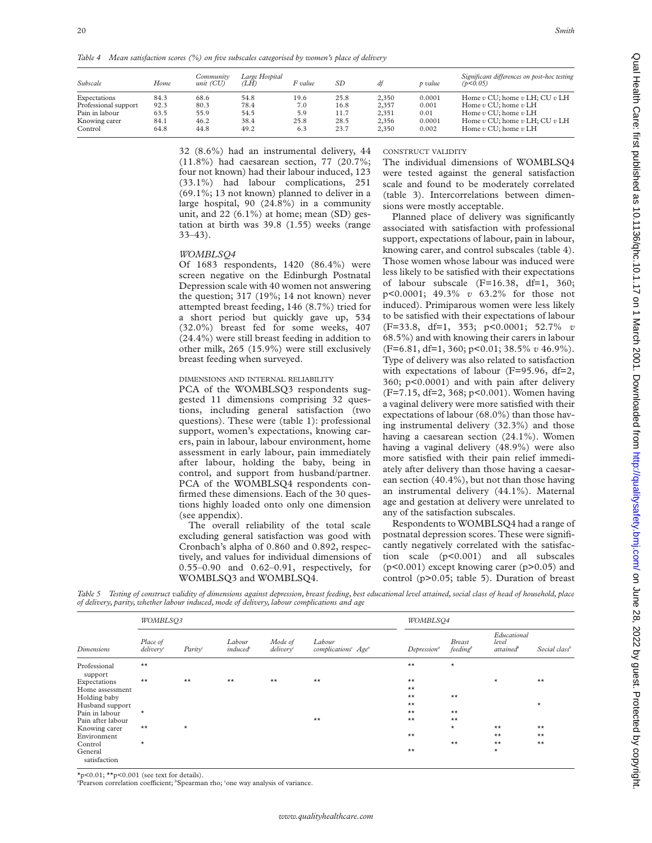*Table 4 Mean satisfaction scores (%) on five subscales categorised by women's place of delivery*

| Subscale             | Home | Community<br>$unit$ (CU) | Large Hospital<br>(LH) | F value | SD   | df    | p value | Significant differences on post-hoc testing<br>(p<0.05) |
|----------------------|------|--------------------------|------------------------|---------|------|-------|---------|---------------------------------------------------------|
| Expectations         | 84.3 | 68.6                     | 54.8                   | 19.6    | 25.8 | 2,350 | 0.0001  | Home $v$ CU; home $v$ LH; CU $v$ LH                     |
| Professional support | 92.3 | 80.3                     | 78.4                   | 7.0     | 16.8 | 2.357 | 0.001   | Home $v$ CU; home $v$ LH                                |
| Pain in labour       | 63.5 | 55.9                     | 54.5                   | 5.9     | 11.7 | 2,351 | 0.01    | Home $v$ CU; home $v$ LH                                |
| Knowing carer        | 84.1 | 46.2                     | 38.4                   | 25.8    | 28.5 | 2,356 | 0.0001  | Home $v$ CU; home $v$ LH; CU $v$ LH                     |
| Control              | 64.8 | 44.8                     | 49.2                   | 6.3     | 23.7 | 2,350 | 0.002   | Home $v$ CU; home $v$ LH                                |

32 (8.6%) had an instrumental delivery, 44 (11.8%) had caesarean section, 77 (20.7%; four not known) had their labour induced, 123 (33.1%) had labour complications, 251 (69.1%; 13 not known) planned to deliver in a large hospital, 90 (24.8%) in a community unit, and 22 (6.1%) at home; mean (SD) gestation at birth was 39.8 (1.55) weeks (range 33–43).

## *WOMBLSQ4*

Of 1683 respondents, 1420 (86.4%) were screen negative on the Edinburgh Postnatal Depression scale with 40 women not answering the question; 317 (19%; 14 not known) never attempted breast feeding, 146 (8.7%) tried for a short period but quickly gave up, 534 (32.0%) breast fed for some weeks, 407 (24.4%) were still breast feeding in addition to other milk, 265 (15.9%) were still exclusively breast feeding when surveyed.

# DIMENSIONS AND INTERNAL RELIABILITY

PCA of the WOMBLSQ3 respondents suggested 11 dimensions comprising 32 questions, including general satisfaction (two questions). These were (table 1): professional support, women's expectations, knowing carers, pain in labour, labour environment, home assessment in early labour, pain immediately after labour, holding the baby, being in control, and support from husband/partner. PCA of the WOMBLSQ4 respondents confirmed these dimensions. Each of the 30 questions highly loaded onto only one dimension (see appendix).

The overall reliability of the total scale excluding general satisfaction was good with Cronbach's alpha of 0.860 and 0.892, respectively, and values for individual dimensions of 0.55–0.90 and 0.62–0.91, respectively, for WOMBLSQ3 and WOMBLSQ4.

# CONSTRUCT VALIDITY

The individual dimensions of WOMBLSQ4 were tested against the general satisfaction scale and found to be moderately correlated (table 3). Intercorrelations between dimensions were mostly acceptable.

Planned place of delivery was significantly associated with satisfaction with professional support, expectations of labour, pain in labour, knowing carer, and control subscales (table 4). Those women whose labour was induced were less likely to be satisfied with their expectations of labour subscale  $(F=16.38, df=1, 360;$ p<0.0001; 49.3% *v* 63.2% for those not induced). Primiparous women were less likely to be satisfied with their expectations of labour (F=33.8, df=1, 353; p<0.0001; 52.7% *v* 68.5%) and with knowing their carers in labour (F=6.81, df=1, 360; p<0.01; 38.5% *v* 46.9%). Type of delivery was also related to satisfaction with expectations of labour (F=95.96, df=2, 360; p<0.0001) and with pain after delivery (F=7.15, df=2, 368; p<0.001). Women having a vaginal delivery were more satisfied with their expectations of labour (68.0%) than those having instrumental delivery (32.3%) and those having a caesarean section (24.1%). Women having a vaginal delivery (48.9%) were also more satisfied with their pain relief immediately after delivery than those having a caesarean section (40.4%), but not than those having an instrumental delivery (44.1%). Maternal age and gestation at delivery were unrelated to any of the satisfaction subscales.

Respondents to WOMBLSQ4 had a range of postnatal depression scores. These were significantly negatively correlated with the satisfaction scale (p<0.001) and all subscales  $(p<0.001)$  except knowing carer  $(p>0.05)$  and control (p>0.05; table 5). Duration of breast

*Table 5 Testing of construct validity of dimensions against depression, breast feeding, best educational level attained, social class of head of household, place of delivery, parity, whether labour induced, mode of delivery, labour complications and age*

| <b>Dimensions</b>       | WOMBLSO3                 |         |                   |                         | WOMBLSO4                                              |                         |                           |                                               |                           |
|-------------------------|--------------------------|---------|-------------------|-------------------------|-------------------------------------------------------|-------------------------|---------------------------|-----------------------------------------------|---------------------------|
|                         | Place of<br>$deliverv^c$ | Parity  | Labour<br>induced | Mode of<br>$deliverv^c$ | Labour<br>complications <sup>c</sup> Age <sup>a</sup> | Depression <sup>a</sup> | <b>Breast</b><br>feedback | Educational<br>level<br>attained <sup>b</sup> | Social class <sup>b</sup> |
| Professional<br>support | $**$                     |         |                   |                         |                                                       | $\star\star$            | $\star$                   |                                               |                           |
| Expectations            | $**$                     | $**$    | $\star\star$      | $**$                    | $**$                                                  | $**$                    |                           | $\star$                                       | $***$                     |
| Home assessment         |                          |         |                   |                         |                                                       | $\star\star$            |                           |                                               |                           |
| Holding baby            |                          |         |                   |                         |                                                       | $\star\star$            | $\star\star$              |                                               |                           |
| Husband support         |                          |         |                   |                         |                                                       | $\star\star$            |                           |                                               | $\star$                   |
| Pain in labour          | $\star$                  |         |                   |                         |                                                       | $\star\star$            | $**$                      |                                               |                           |
| Pain after labour       |                          |         |                   |                         | $**$                                                  | $**$                    | $\star\star$              |                                               |                           |
| Knowing carer           | $\star\star$             | $\star$ |                   |                         |                                                       |                         | $\star$                   | $\star\star$                                  | $\star\star$              |
| Environment             |                          |         |                   |                         |                                                       | $\star\star$            |                           | $**$                                          | $\star\star$              |
| Control                 | $\star$                  |         |                   |                         |                                                       |                         | $\star\star$              | $**$                                          | $**$                      |
| General<br>satisfaction |                          |         |                   |                         |                                                       | $\star\star$            |                           | $\star$                                       |                           |
|                         |                          |         |                   |                         |                                                       |                         |                           |                                               |                           |

 $*_p$ <0.01;  $*_p$ <0.001 (see text for details).

<sup>a</sup>Pearson correlation coefficient; <sup>b</sup>Spearman rho; 'one way analysis of variance.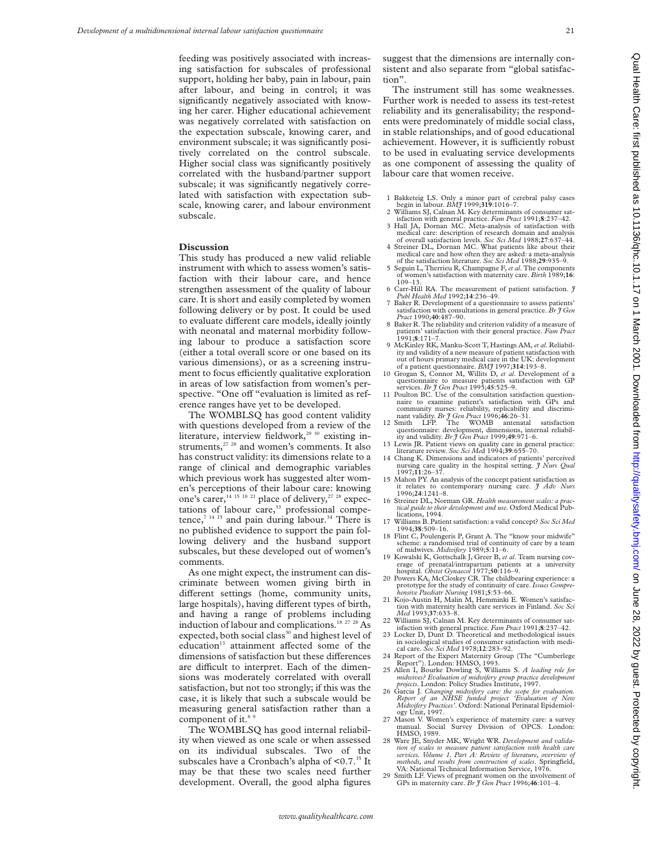feeding was positively associated with increasing satisfaction for subscales of professional support, holding her baby, pain in labour, pain after labour, and being in control; it was significantly negatively associated with knowing her carer. Higher educational achievement was negatively correlated with satisfaction on the expectation subscale, knowing carer, and environment subscale; it was significantly positively correlated on the control subscale. Higher social class was significantly positively correlated with the husband/partner support subscale; it was significantly negatively correlated with satisfaction with expectation subscale, knowing carer, and labour environment subscale.

#### **Discussion**

This study has produced a new valid reliable instrument with which to assess women's satisfaction with their labour care, and hence strengthen assessment of the quality of labour care. It is short and easily completed by women following delivery or by post. It could be used to evaluate different care models, ideally jointly with neonatal and maternal morbidity following labour to produce a satisfaction score (either a total overall score or one based on its various dimensions), or as a screening instrument to focus efficiently qualitative exploration in areas of low satisfaction from women's perspective. "One off "evaluation is limited as reference ranges have yet to be developed.

The WOMBLSQ has good content validity with questions developed from a review of the literature, interview fieldwork,<sup>29 30</sup> existing instruments, $27 \times 28$  and women's comments. It also has construct validity: its dimensions relate to a range of clinical and demographic variables which previous work has suggested alter women's perceptions of their labour care: knowing one's carer,  $14 \times 15 \times 21$  place of delivery,<sup>27 28</sup> expectations of labour care,<sup>33</sup> professional competence, $7^{14}$  15 and pain during labour.<sup>34</sup> There is no published evidence to support the pain following delivery and the husband support subscales, but these developed out of women's comments.

As one might expect, the instrument can discriminate between women giving birth in different settings (home, community units, large hospitals), having different types of birth, and having a range of problems including induction of labour and complications.18 27 28 As expected, both social class<sup>30</sup> and highest level of education<sup>13</sup> attainment affected some of the dimensions of satisfaction but these differences are difficult to interpret. Each of the dimensions was moderately correlated with overall satisfaction, but not too strongly; if this was the case, it is likely that such a subscale would be measuring general satisfaction rather than a component of it.<sup>8</sup>

The WOMBLSQ has good internal reliability when viewed as one scale or when assessed on its individual subscales. Two of the subscales have a Cronbach's alpha of <0.7.<sup>35</sup> It may be that these two scales need further development. Overall, the good alpha figures

suggest that the dimensions are internally consistent and also separate from "global satisfaction".

The instrument still has some weaknesses. Further work is needed to assess its test-retest reliability and its generalisability; the respondents were predominately of middle social class, in stable relationships, and of good educational achievement. However, it is sufficiently robust to be used in evaluating service developments as one component of assessing the quality of labour care that women receive.

- 1 Bakketeig LS. Only a minor part of cerebral palsy cases begin in labour. *BMJ* 1999;**319**:1016–7.
- 2 Williams SJ, Calnan M. Key determinants of consumer satisfaction with general practice. *Fam Pract* 1991;**8**:237–42.
- 3 Hall JA, Dornan MC. Meta-analysis of satisfaction with medical care: description of research domain and analysis of overall satisfaction levels. *Soc Sci Med* 1988;**27**:637–44.
- Streiner DL, Dornan MC. What patients like about their medical care and how often they are asked: a meta-analysis of the satisfaction literature*. Soc Sci Med* 1988;**29**:935–9.
- 5 Seguin L, Therrieu R, Champagne F,*et al*. The components of women's satisfaction with maternity care. *Birth* 1989;**16**: 109–13.
- 6 Carr-Hill RA. The measurement of patient satisfaction. *J Publ Health Med* 1992;**14**:236–49.
- 7 Baker R. Development of a questionnaire to assess patients' satisfaction with consultations in general practice. *Br J Gen Pract* 1990;**40**:487–90.
- 8 Baker R. The reliability and criterion validity of a measure of patients' satisfaction with their general practice. *Fam Pract* 1991;**8**:171–7.
- 9 McKinley RK, Manku-Scott T, Hastings AM, *et al*. Reliability and validity of a new measure of patient satisfaction with out of hours primary medical care in the UK: development
- of a patient questionnaire. *BMJ* 1997;**314**:193–8. 10 Grogan S, Connor M, Willits D, *et al*. Development of a questionnaire to measure patients satisfaction with GP services. *Br J Gen Pract* 1995;**45**:525–9.
- 11 Poulton BC. Use of the consultation satisfaction question-naire to examine patient's satisfaction with GPs and community nurses: reliability, replicability and discrimi-nant validity. *Br J Gen Pract* 1996;**46**:26–31.
- 12 Smith LFP. The WOMB antenatal satisfaction questionnaire: development, dimensions, internal reliabil-ity and validity. *Br J Gen Pract* 1999;**49**:971–6.
- 13 Lewis JR. Patient views on quality care in general practice: literature review. *Soc Sci Me*d 1994;**39**:655–70. 14 Chang K. Dimensions and indicators of patients' perceived
- nursing care quality in the hospital setting. *J Nurs Qual* 1997;**11**:26–37.
- 15 Mahon PY. An analysis of the concept patient satisfaction as it relates to contemporary nursing care. *J Adv Nurs* 1996;**24**:1241–8.
- 16 Streiner DL, Norman GR. *Health measurement scales: a practical guide to their development and use*. Oxford Medical Publications, 1994.
- 17 Williams B. Patient satisfaction: a valid concept? *Soc Sci Med* 1994;**38**:509–16.
- 18 Flint C, Poulengeris P, Grant A. The "know your midwife" scheme: a randomised trial of continuity of care by a team of midwives. *Midwifery* 1989;**5**:11–6.
- 19 Kowalski K, Gottschalk J, Greer B, *et al*. Team nursing coverage of prenatal/intrapartum patients at a university hospital. *Obstet Gynaecol* 1977;**50**:116–9.
- 20 Powers KA, McCloskey CR. The childbearing experience: a prototype for the study of continuity of care. *Issues Comprehensive Paediatr Nursing* 1981;**5**:53–66. 21 Kojo-Austin H, Malin M, Hemminki E. Women's satisfac-
- tion with maternity health care services in Finland. *Soc Sci Med* 1993;**37**:633–8.
- 22 Williams SJ, Calnan M. Key determinants of consumer sat-isfaction with general practice*. Fam Pract* 1991;**8**:237–42.
- 23 Locker D, Dunt D. Theoretical and methodological issues in sociological studies of consumer satisfaction with medi-cal care. *Soc Sci Med* 1978;**12**:283–92.
- 24 Report of the Expert Maternity Group (The "Cumberlege Report"). London: HMSO, 1993.
- 25 Allen I, Bourke Dowling S, Williams S. *A leading role for midwives? Evaluation of midwifery group practice development projects*. London: Policy Studies Institute, 1997.<br>26 Garcia J. Changing midwifery care: the scope for evaluation.
- 26 Garcia J. *Changing midwifery care: the scope for evaluation. Report of an NHSE funded project 'Evaluation of New Midwifery Practices'*. Oxford: National Perinatal Epidemiol-ogy Unit, 1997.
- 27 Mason V. Women's experience of maternity care: a survey manual. Social Survey Division of OPCS. London: HMSO, 1989.
- 28 Ware JE, Snyder MK, Wright WR. *Development and validation of scales to measure patient satisfaction with health care services. Volume 1. Part A: Review of literature, overview of methods, and results from construction of scales*. Springfield, VA: National Technical Information Service, 1976.
- 29 Smith LF. Views of pregnant women on the involvement of GPs in maternity care. *Br J Gen Pract* 1996;**46**:101–4.